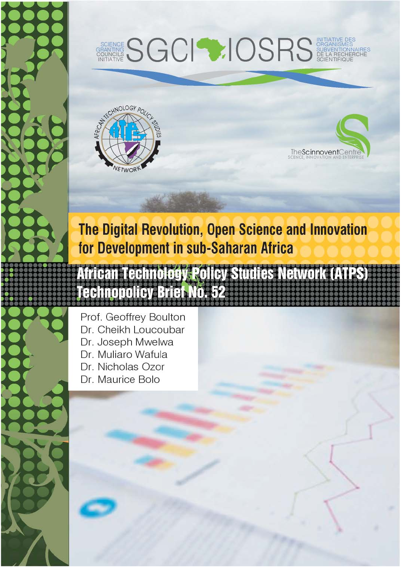# SCIENCE SGCI .IOSRS SUBVENTIONNAIRES





## The Digital Revolution, Open Science and Innovation for Development in sub-Saharan Africa

## African Technology Policy Studies Network (ATPS) **Chnopolicy Brief No**

Prof. Geoffrey Boulton Dr. Cheikh Loucoubar Dr. Joseph Mwelwa Dr. Muliaro Wafula Dr. Nicholas Ozor Dr. Maurice Bolo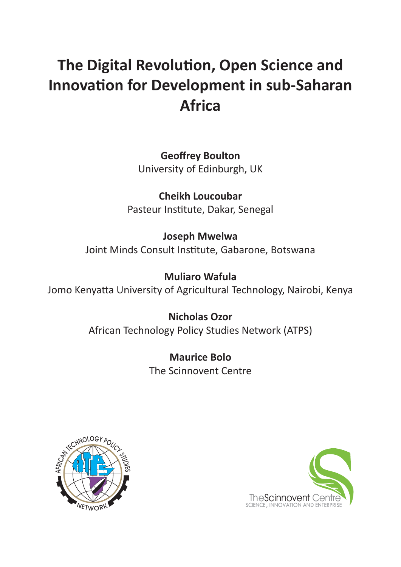### **The Digital Revolution, Open Science and Innovation for Development in sub-Saharan Africa**

**Geoff rey Boulton**  University of Edinburgh, UK

**Cheikh Loucoubar**  Pasteur Institute, Dakar, Senegal

**Joseph Mwelwa**  Joint Minds Consult Institute, Gabarone, Botswana

**Muliaro Wafula**  Jomo Kenyatta University of Agricultural Technology, Nairobi, Kenya

> **Nicholas Ozor** African Technology Policy Studies Network (ATPS)

> > **Maurice Bolo** The Scinnovent Centre



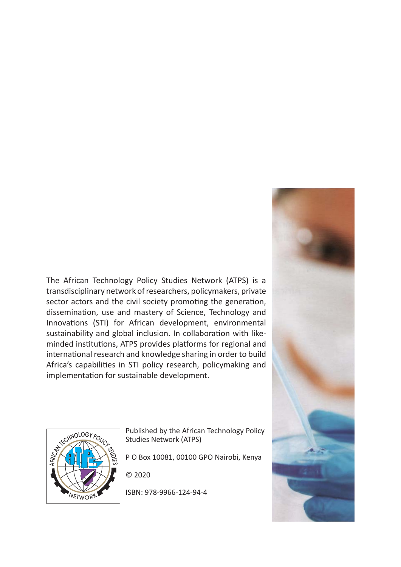The African Technology Policy Studies Network (ATPS) is a transdisciplinary network of researchers, policymakers, private sector actors and the civil society promoting the generation, dissemination, use and mastery of Science, Technology and Innovations (STI) for African development, environmental sustainability and global inclusion. In collaboration with likeminded institutions, ATPS provides platforms for regional and international research and knowledge sharing in order to build Africa's capabilities in STI policy research, policymaking and implementation for sustainable development.





Published by the African Technology Policy Studies Network (ATPS)

P O Box 10081, 00100 GPO Nairobi, Kenya

© 2020

ISBN: 978-9966-124-94-4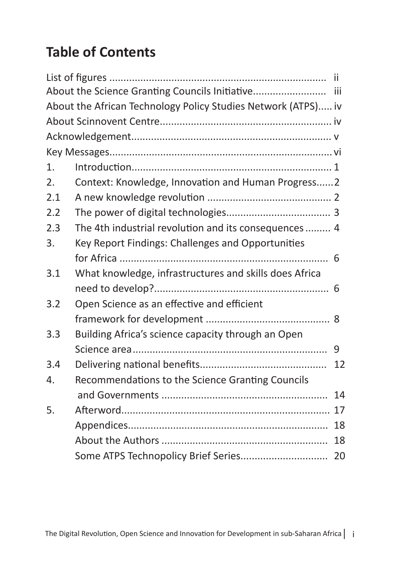### **Table of Contents**

|     | About the Science Granting Councils Initiative iii            |    |
|-----|---------------------------------------------------------------|----|
|     | About the African Technology Policy Studies Network (ATPS) iv |    |
|     |                                                               |    |
|     |                                                               |    |
|     |                                                               |    |
| 1.  |                                                               |    |
| 2.  | Context: Knowledge, Innovation and Human Progress2            |    |
| 2.1 |                                                               |    |
| 2.2 |                                                               |    |
| 2.3 | The 4th industrial revolution and its consequences 4          |    |
| 3.  | Key Report Findings: Challenges and Opportunities             |    |
|     |                                                               |    |
| 3.1 | What knowledge, infrastructures and skills does Africa        |    |
|     |                                                               |    |
| 3.2 | Open Science as an effective and efficient                    |    |
|     |                                                               |    |
| 3.3 | Building Africa's science capacity through an Open            |    |
|     |                                                               | 9  |
| 3.4 |                                                               | 12 |
| 4.  | Recommendations to the Science Granting Councils              |    |
|     |                                                               | 14 |
| 5.  |                                                               | 17 |
|     |                                                               | 18 |
|     |                                                               | 18 |
|     |                                                               | 20 |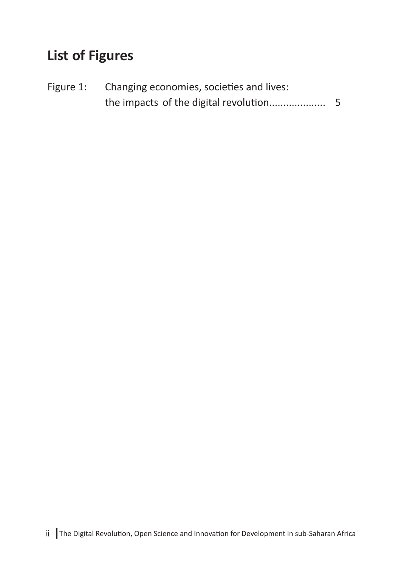### **List of Figures**

Figure 1: Changing economies, societies and lives: the impacts of the digital revolution....................... 5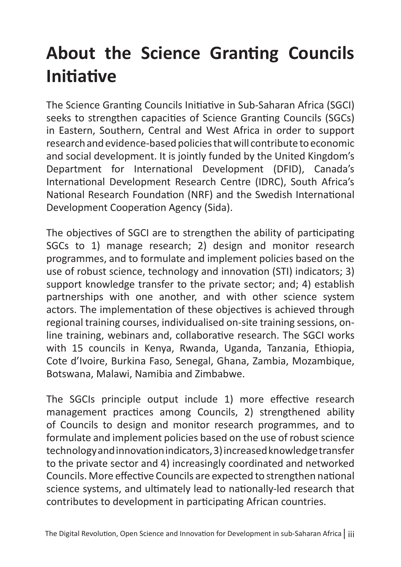## **About the Science Granting Councils Initiative**

The Science Granting Councils Initiative in Sub-Saharan Africa (SGCI) seeks to strengthen capacities of Science Granting Councils (SGCs) in Eastern, Southern, Central and West Africa in order to support research and evidence-based policies that will contribute to economic and social development. It is jointly funded by the United Kingdom's Department for International Development (DFID), Canada's International Development Research Centre (IDRC), South Africa's National Research Foundation (NRF) and the Swedish International Development Cooperation Agency (Sida).

The objectives of SGCI are to strengthen the ability of participating SGCs to 1) manage research; 2) design and monitor research programmes, and to formulate and implement policies based on the use of robust science, technology and innovation (STI) indicators; 3) support knowledge transfer to the private sector; and; 4) establish partnerships with one another, and with other science system actors. The implementation of these objectives is achieved through regional training courses, individualised on-site training sessions, online training, webinars and, collaborative research. The SGCI works with 15 councils in Kenya, Rwanda, Uganda, Tanzania, Ethiopia, Cote d'Ivoire, Burkina Faso, Senegal, Ghana, Zambia, Mozambique, Botswana, Malawi, Namibia and Zimbabwe.

The SGCIs principle output include 1) more effective research management practices among Councils, 2) strengthened ability of Councils to design and monitor research programmes, and to formulate and implement policies based on the use of robust science technology and innovation indicators, 3) increased knowledge transfer to the private sector and 4) increasingly coordinated and networked Councils. More effective Councils are expected to strengthen national science systems, and ultimately lead to nationally-led research that contributes to development in participating African countries.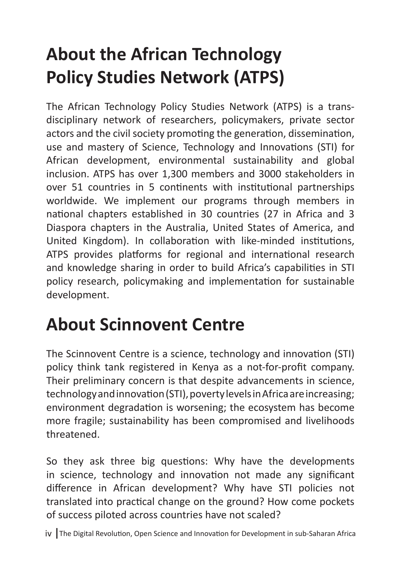## **About the African Technology Policy Studies Network (ATPS)**

The African Technology Policy Studies Network (ATPS) is a transdisciplinary network of researchers, policymakers, private sector actors and the civil society promoting the generation, dissemination, use and mastery of Science, Technology and Innovations (STI) for African development, environmental sustainability and global inclusion. ATPS has over 1,300 members and 3000 stakeholders in over 51 countries in 5 continents with institutional partnerships worldwide. We implement our programs through members in national chapters established in 30 countries (27 in Africa and 3 Diaspora chapters in the Australia, United States of America, and United Kingdom). In collaboration with like-minded institutions, ATPS provides platforms for regional and international research and knowledge sharing in order to build Africa's capabilities in STI policy research, policymaking and implementation for sustainable development.

## **About Scinnovent Centre**

The Scinnovent Centre is a science, technology and innovation (STI) policy think tank registered in Kenya as a not-for-profit company. Their preliminary concern is that despite advancements in science, technology and innovation (STI), poverty levels in Africa are increasing; environment degradation is worsening; the ecosystem has become more fragile; sustainability has been compromised and livelihoods threatened.

So they ask three big questions: Why have the developments in science, technology and innovation not made any significant difference in African development? Why have STI policies not translated into practical change on the ground? How come pockets of success piloted across countries have not scaled?

iv The Digital Revolution, Open Science and Innovation for Development in sub-Saharan Africa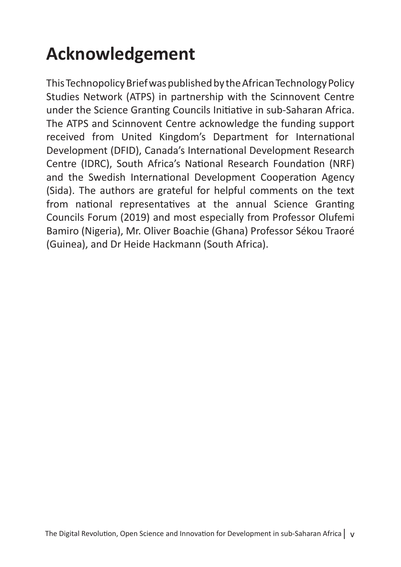## **Acknowledgement**

This Technopolicy Brief was published by the African Technology Policy Studies Network (ATPS) in partnership with the Scinnovent Centre under the Science Granting Councils Initiative in sub-Saharan Africa. The ATPS and Scinnovent Centre acknowledge the funding support received from United Kingdom's Department for International Development (DFID), Canada's International Development Research Centre (IDRC), South Africa's National Research Foundation (NRF) and the Swedish International Development Cooperation Agency (Sida). The authors are grateful for helpful comments on the text from national representatives at the annual Science Granting Councils Forum (2019) and most especially from Professor Olufemi Bamiro (Nigeria), Mr. Oliver Boachie (Ghana) Professor Sékou Traoré (Guinea), and Dr Heide Hackmann (South Africa).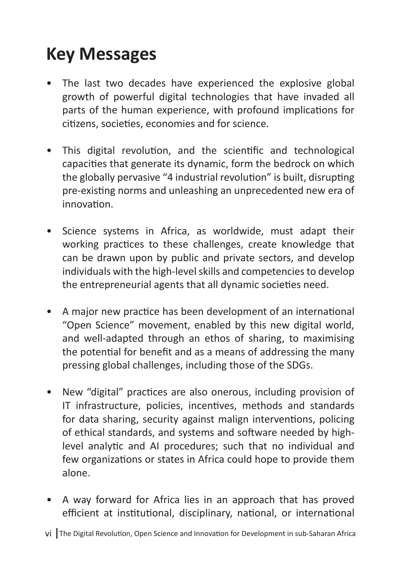## **Key Messages**

- The last two decades have experienced the explosive global growth of powerful digital technologies that have invaded all parts of the human experience, with profound implications for citizens, societies, economies and for science.
- This digital revolution, and the scientific and technological capacities that generate its dynamic, form the bedrock on which the globally pervasive "4 industrial revolution" is built, disrupting pre-existing norms and unleashing an unprecedented new era of innovation.
- Science systems in Africa, as worldwide, must adapt their working practices to these challenges, create knowledge that can be drawn upon by public and private sectors, and develop individuals with the high-level skills and competencies to develop the entrepreneurial agents that all dynamic societies need.
- A major new practice has been development of an international "Open Science" movement, enabled by this new digital world, and well-adapted through an ethos of sharing, to maximising the potential for benefit and as a means of addressing the many pressing global challenges, including those of the SDGs.
- New "digital" practices are also onerous, including provision of IT infrastructure, policies, incentives, methods and standards for data sharing, security against malign interventions, policing of ethical standards, and systems and software needed by highlevel analytic and AI procedures; such that no individual and few organizations or states in Africa could hope to provide them alone.
- A way forward for Africa lies in an approach that has proved efficient at institutional, disciplinary, national, or international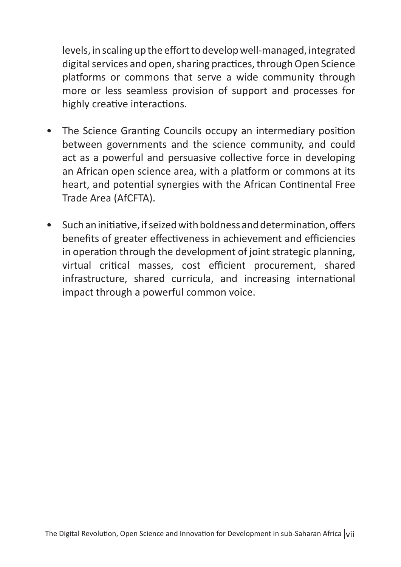levels, in scaling up the effort to develop well-managed, integrated digital services and open, sharing practices, through Open Science platforms or commons that serve a wide community through more or less seamless provision of support and processes for highly creative interactions.

- The Science Granting Councils occupy an intermediary position between governments and the science community, and could act as a powerful and persuasive collective force in developing an African open science area, with a platform or commons at its heart, and potential synergies with the African Continental Free Trade Area (AfCFTA).
- Such an initiative, if seized with boldness and determination, offers  $\bullet$ benefits of greater effectiveness in achievement and efficiencies in operation through the development of joint strategic planning, virtual critical masses, cost efficient procurement, shared infrastructure, shared curricula, and increasing international impact through a powerful common voice.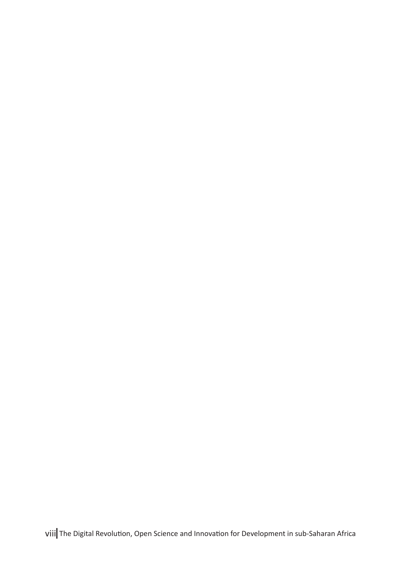viii The Digital Revolution, Open Science and Innovation for Development in sub-Saharan Africa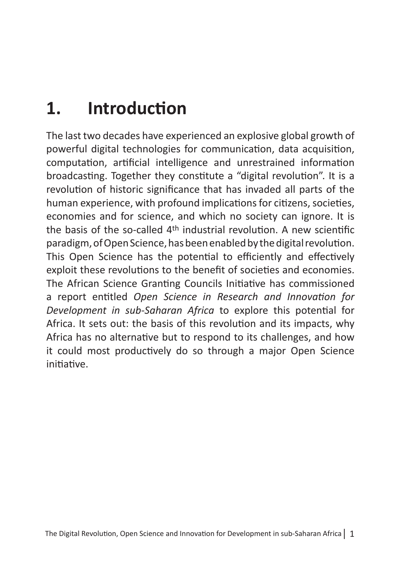#### **Introduction**  $\mathbf 1$  .

The last two decades have experienced an explosive global growth of powerful digital technologies for communication, data acquisition, computation, artificial intelligence and unrestrained information broadcasting. Together they constitute a "digital revolution". It is a revolution of historic significance that has invaded all parts of the human experience, with profound implications for citizens, societies, economies and for science, and which no society can ignore. It is the basis of the so-called 4<sup>th</sup> industrial revolution. A new scientific paradigm, of Open Science, has been enabled by the digital revolution. This Open Science has the potential to efficiently and effectively exploit these revolutions to the benefit of societies and economies. The African Science Granting Councils Initiative has commissioned a report entitled Open Science in Research and Innovation for Development in sub-Saharan Africa to explore this potential for Africa. It sets out: the basis of this revolution and its impacts, why Africa has no alternative but to respond to its challenges, and how it could most productively do so through a major Open Science initiative.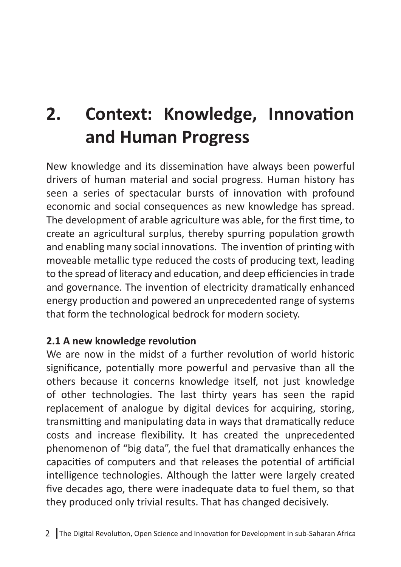## **2.** Context: Knowledge, Innovation **and Human Progress**

New knowledge and its dissemination have always been powerful drivers of human material and social progress. Human history has seen a series of spectacular bursts of innovation with profound economic and social consequences as new knowledge has spread. The development of arable agriculture was able, for the first time, to create an agricultural surplus, thereby spurring population growth and enabling many social innovations. The invention of printing with moveable metallic type reduced the costs of producing text, leading to the spread of literacy and education, and deep efficiencies in trade and governance. The invention of electricity dramatically enhanced energy production and powered an unprecedented range of systems that form the technological bedrock for modern society.

### **2.1 A new knowledge revolution**

We are now in the midst of a further revolution of world historic significance, potentially more powerful and pervasive than all the others because it concerns knowledge itself, not just knowledge of other technologies. The last thirty years has seen the rapid replacement of analogue by digital devices for acquiring, storing, transmitting and manipulating data in ways that dramatically reduce costs and increase flexibility. It has created the unprecedented phenomenon of "big data", the fuel that dramatically enhances the capacities of computers and that releases the potential of artificial intelligence technologies. Although the latter were largely created five decades ago, there were inadequate data to fuel them, so that they produced only trivial results. That has changed decisively.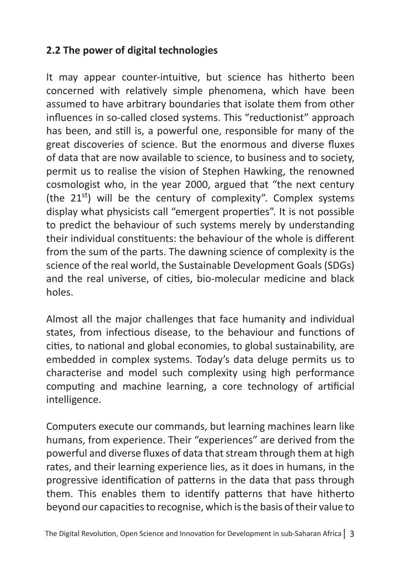### **2.2 The power of digital technologies**

It may appear counter-intuitive, but science has hitherto been concerned with relatively simple phenomena, which have been assumed to have arbitrary boundaries that isolate them from other influences in so-called closed systems. This "reductionist" approach has been, and still is, a powerful one, responsible for many of the great discoveries of science. But the enormous and diverse fluxes of data that are now available to science, to business and to society, permit us to realise the vision of Stephen Hawking, the renowned cosmologist who, in the year 2000, argued that "the next century (the  $21^{st}$ ) will be the century of complexity". Complex systems display what physicists call "emergent properties". It is not possible to predict the behaviour of such systems merely by understanding their individual constituents: the behaviour of the whole is different from the sum of the parts. The dawning science of complexity is the science of the real world, the Sustainable Development Goals (SDGs) and the real universe, of cities, bio-molecular medicine and black holes.

Almost all the major challenges that face humanity and individual states, from infectious disease, to the behaviour and functions of cities, to national and global economies, to global sustainability, are embedded in complex systems. Today's data deluge permits us to characterise and model such complexity using high performance computing and machine learning, a core technology of artificial intelligence.

Computers execute our commands, but learning machines learn like humans, from experience. Their "experiences" are derived from the powerful and diverse fluxes of data that stream through them at high rates, and their learning experience lies, as it does in humans, in the progressive identification of patterns in the data that pass through them. This enables them to identify patterns that have hitherto beyond our capacities to recognise, which is the basis of their value to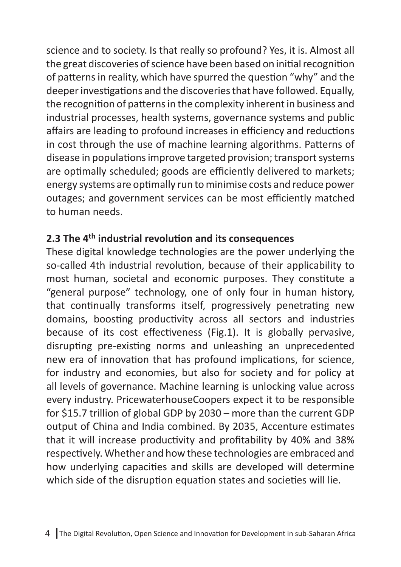science and to society. Is that really so profound? Yes, it is. Almost all the great discoveries of science have been based on initial recognition of patterns in reality, which have spurred the question "why" and the deeper investigations and the discoveries that have followed. Equally, the recognition of patterns in the complexity inherent in business and industrial processes, health systems, governance systems and public affairs are leading to profound increases in efficiency and reductions in cost through the use of machine learning algorithms. Patterns of disease in populations improve targeted provision; transport systems are optimally scheduled; goods are efficiently delivered to markets; energy systems are optimally run to minimise costs and reduce power outages; and government services can be most efficiently matched to human needs.

### **2.3 The 4<sup>th</sup> industrial revolution and its consequences**

These digital knowledge technologies are the power underlying the so-called 4th industrial revolution, because of their applicability to most human, societal and economic purposes. They constitute a "general purpose" technology, one of only four in human history, that continually transforms itself, progressively penetrating new domains, boosting productivity across all sectors and industries because of its cost effectiveness (Fig.1). It is globally pervasive, disrupting pre-existing norms and unleashing an unprecedented new era of innovation that has profound implications, for science, for industry and economies, but also for society and for policy at all levels of governance. Machine learning is unlocking value across every industry. PricewaterhouseCoopers expect it to be responsible for \$15.7 trillion of global GDP by 2030 – more than the current GDP output of China and India combined. By 2035, Accenture estimates that it will increase productivity and profitability by 40% and 38% respectively. Whether and how these technologies are embraced and how underlying capacities and skills are developed will determine which side of the disruption equation states and societies will lie.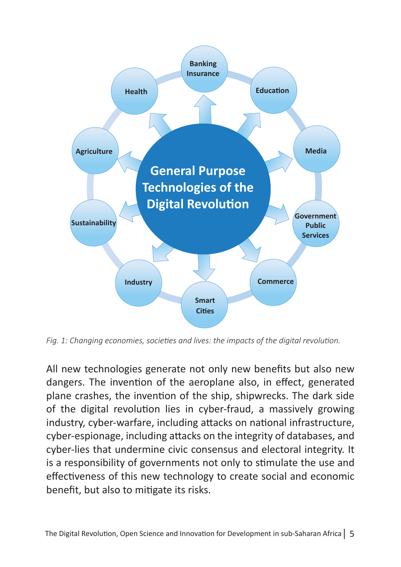

*Fig. 1: Changing economies, societies and lives: the impacts of the digital revolution.* 

All new technologies generate not only new benefits but also new dangers. The invention of the aeroplane also, in effect, generated plane crashes, the invention of the ship, shipwrecks. The dark side of the digital revolution lies in cyber-fraud, a massively growing industry, cyber-warfare, including attacks on national infrastructure, cyber-espionage, including attacks on the integrity of databases, and cyber-lies that undermine civic consensus and electoral integrity. It is a responsibility of governments not only to stimulate the use and effectiveness of this new technology to create social and economic benefit, but also to mitigate its risks.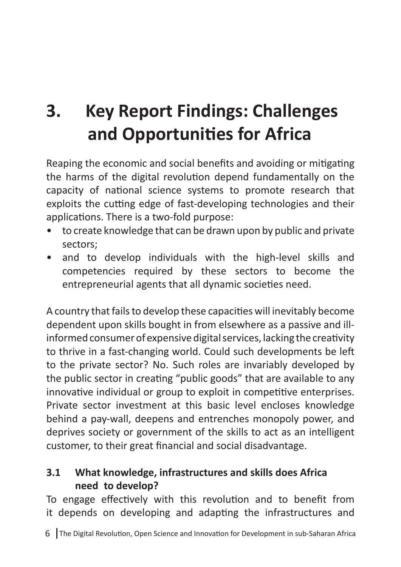## **3. Key Report Findings: Challenges and Opportunities for Africa**

Reaping the economic and social benefits and avoiding or mitigating the harms of the digital revolution depend fundamentally on the capacity of national science systems to promote research that exploits the cutting edge of fast-developing technologies and their applications. There is a two-fold purpose:

- to create knowledge that can be drawn upon by public and private sectors;
- and to develop individuals with the high-level skills and competencies required by these sectors to become the entrepreneurial agents that all dynamic societies need.

A country that fails to develop these capacities will inevitably become dependent upon skills bought in from elsewhere as a passive and illinformed consumer of expensive digital services, lacking the creativity to thrive in a fast-changing world. Could such developments be left to the private sector? No. Such roles are invariably developed by the public sector in creating "public goods" that are available to any innovative individual or group to exploit in competitive enterprises. Private sector investment at this basic level encloses knowledge behind a pay-wall, deepens and entrenches monopoly power, and deprives society or government of the skills to act as an intelligent customer, to their great financial and social disadvantage.

### **3.1 What knowledge, infrastructures and skills does Africa need to develop?**

To engage effectively with this revolution and to benefit from it depends on developing and adapting the infrastructures and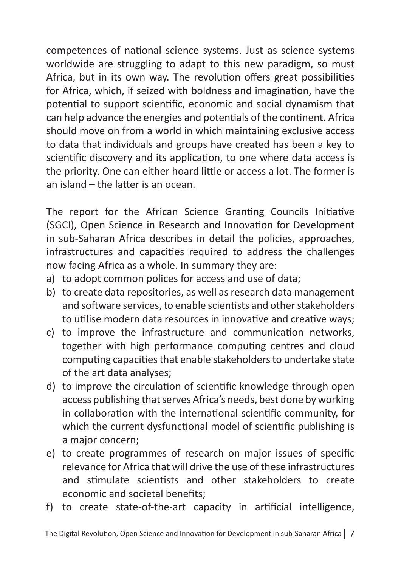competences of national science systems. Just as science systems worldwide are struggling to adapt to this new paradigm, so must Africa, but in its own way. The revolution offers great possibilities for Africa, which, if seized with boldness and imagination, have the potential to support scientific, economic and social dynamism that can help advance the energies and potentials of the continent. Africa should move on from a world in which maintaining exclusive access to data that individuals and groups have created has been a key to scientific discovery and its application, to one where data access is the priority. One can either hoard little or access a lot. The former is an island  $-$  the latter is an ocean.

The report for the African Science Granting Councils Initiative (SGCI), Open Science in Research and Innovation for Development in sub-Saharan Africa describes in detail the policies, approaches, infrastructures and capacities required to address the challenges now facing Africa as a whole. In summary they are:

- a) to adopt common polices for access and use of data;
- b) to create data repositories, as well as research data management and software services, to enable scientists and other stakeholders to utilise modern data resources in innovative and creative ways;
- c) to improve the infrastructure and communication networks, together with high performance computing centres and cloud computing capacities that enable stakeholders to undertake state of the art data analyses;
- d) to improve the circulation of scientific knowledge through open access publishing that serves Africa's needs, best done by working in collaboration with the international scientific community, for which the current dysfunctional model of scientific publishing is a major concern;
- e) to create programmes of research on major issues of specific relevance for Africa that will drive the use of these infrastructures and stimulate scientists and other stakeholders to create economic and societal benefits:
- f) to create state-of-the-art capacity in artificial intelligence,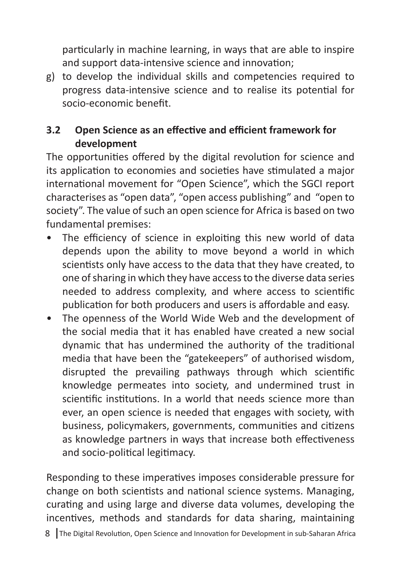particularly in machine learning, in ways that are able to inspire and support data-intensive science and innovation;

g) to develop the individual skills and competencies required to progress data-intensive science and to realise its potential for socio-economic benefit.

#### $3.2$ Open Science as an effective and efficient framework for development

The opportunities offered by the digital revolution for science and its application to economies and societies have stimulated a major international movement for "Open Science", which the SGCI report characterises as "open data", "open access publishing" and "open to society". The value of such an open science for Africa is based on two fundamental premises:

- The efficiency of science in exploiting this new world of data depends upon the ability to move beyond a world in which scientists only have access to the data that they have created, to one of sharing in which they have access to the diverse data series needed to address complexity, and where access to scientific publication for both producers and users is affordable and easy.
- The openness of the World Wide Web and the development of the social media that it has enabled have created a new social dynamic that has undermined the authority of the traditional media that have been the "gatekeepers" of authorised wisdom, disrupted the prevailing pathways through which scientific knowledge permeates into society, and undermined trust in scientific institutions. In a world that needs science more than ever, an open science is needed that engages with society, with business, policymakers, governments, communities and citizens as knowledge partners in ways that increase both effectiveness and socio-political legitimacy.

Responding to these imperatives imposes considerable pressure for change on both scientists and national science systems. Managing, curating and using large and diverse data volumes, developing the incentives, methods and standards for data sharing, maintaining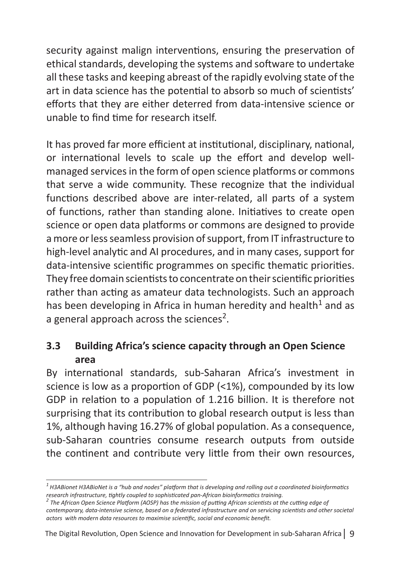security against malign interventions, ensuring the preservation of ethical standards, developing the systems and software to undertake all these tasks and keeping abreast of the rapidly evolving state of the art in data science has the potential to absorb so much of scientists' efforts that they are either deterred from data-intensive science or unable to find time for research itself.

It has proved far more efficient at institutional, disciplinary, national, or international levels to scale up the effort and develop wellmanaged services in the form of open science platforms or commons that serve a wide community. These recognize that the individual functions described above are inter-related, all parts of a system of functions, rather than standing alone. Initiatives to create open science or open data platforms or commons are designed to provide a more or less seamless provision of support, from IT infrastructure to high-level analytic and AI procedures, and in many cases, support for data-intensive scientific programmes on specific thematic priorities. They free domain scientists to concentrate on their scientific priorities rather than acting as amateur data technologists. Such an approach has been developing in Africa in human heredity and health<sup>1</sup> and as a general approach across the sciences<sup>2</sup>.

### **3.3 Building Africa's science capacity through an Open Science area**

By international standards, sub-Saharan Africa's investment in science is low as a proportion of GDP (<1%), compounded by its low GDP in relation to a population of 1.216 billion. It is therefore not surprising that its contribution to global research output is less than 1%, although having 16.27% of global population. As a consequence, sub-Saharan countries consume research outputs from outside the continent and contribute very little from their own resources,

<sup>&</sup>lt;sup>1</sup> H3ABionet H3ABioNet is a "hub and nodes" platform that is developing and rolling out a coordinated bioinformatics *research infrastructure, tightly coupled to sophisticated pan-African bioinformatics training.* 

*<sup>2</sup> The African Open Science Plaƞ orm (AOSP) has the mission of puƫ ng African scienƟ sts at the cuƫ ng edge of contemporary, data-intensive science, based on a federated infrastructure and on servicing scientists and other societal actors with modern data resources to maximise scienƟfi c, social and economic benefi t.*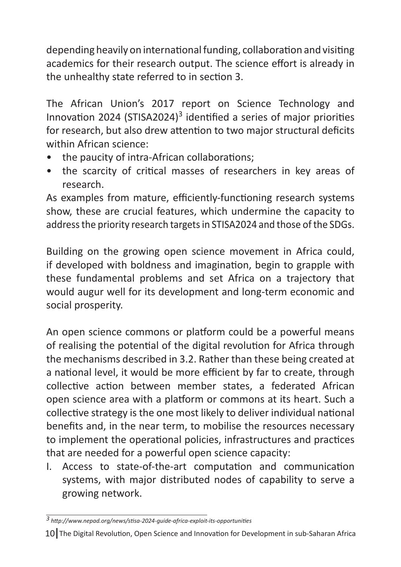depending heavily on international funding, collaboration and visiting academics for their research output. The science effort is already in the unhealthy state referred to in section 3.

The African Union's 2017 report on Science Technology and Innovation 2024 (STISA2024)<sup>3</sup> identified a series of major priorities for research, but also drew attention to two major structural deficits within African science:

- the paucity of intra-African collaborations;
- the scarcity of critical masses of researchers in key areas of research.

As examples from mature, efficiently-functioning research systems show, these are crucial features, which undermine the capacity to address the priority research targets in STISA2024 and those of the SDGs.

Building on the growing open science movement in Africa could, if developed with boldness and imagination, begin to grapple with these fundamental problems and set Africa on a trajectory that would augur well for its development and long-term economic and social prosperity.

An open science commons or platform could be a powerful means of realising the potential of the digital revolution for Africa through the mechanisms described in 3.2. Rather than these being created at a national level, it would be more efficient by far to create, through collective action between member states, a federated African open science area with a platform or commons at its heart. Such a collective strategy is the one most likely to deliver individual national benefits and, in the near term, to mobilise the resources necessary to implement the operational policies, infrastructures and practices that are needed for a powerful open science capacity:

I. Access to state-of-the-art computation and communication systems, with major distributed nodes of capability to serve a growing network.

*<sup>3</sup> hƩ p://www.nepad.org/news/sƟ sa-2024-guide-africa-exploit-its-opportuniƟ es*

 $10$  The Digital Revolution, Open Science and Innovation for Development in sub-Saharan Africa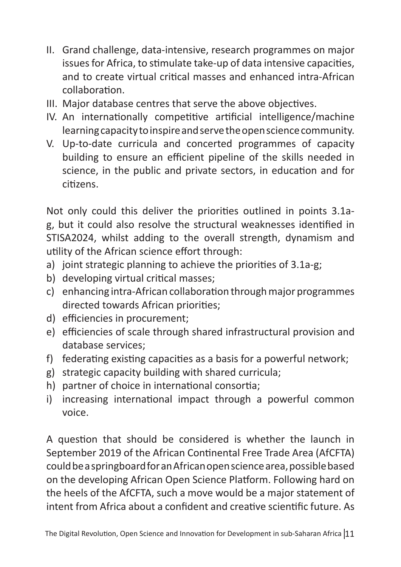- II. Grand challenge, data-intensive, research programmes on major issues for Africa, to stimulate take-up of data intensive capacities, and to create virtual critical masses and enhanced intra-African collaboration.
- III. Major database centres that serve the above objectives.
- IV. An internationally competitive artificial intelligence/machine learning capacity to inspire and serve the open science community.
- V. Up-to-date curricula and concerted programmes of capacity building to ensure an efficient pipeline of the skills needed in science, in the public and private sectors, in education and for citizens.

Not only could this deliver the priorities outlined in points 3.1ag, but it could also resolve the structural weaknesses identified in STISA2024, whilst adding to the overall strength, dynamism and utility of the African science effort through:

- a) joint strategic planning to achieve the priorities of 3.1a-g;
- b) developing virtual critical masses;
- c) enhancing intra-African collaboration through major programmes directed towards African priorities;
- d) efficiencies in procurement;
- e) efficiencies of scale through shared infrastructural provision and database services;
- f) federating existing capacities as a basis for a powerful network;
- g) strategic capacity building with shared curricula;
- h) partner of choice in international consortia;
- i) increasing international impact through a powerful common voice.

A question that should be considered is whether the launch in September 2019 of the African Continental Free Trade Area (AfCFTA) could be a springboard for an African open science area, possible based on the developing African Open Science Platform. Following hard on the heels of the AfCFTA, such a move would be a major statement of intent from Africa about a confident and creative scientific future. As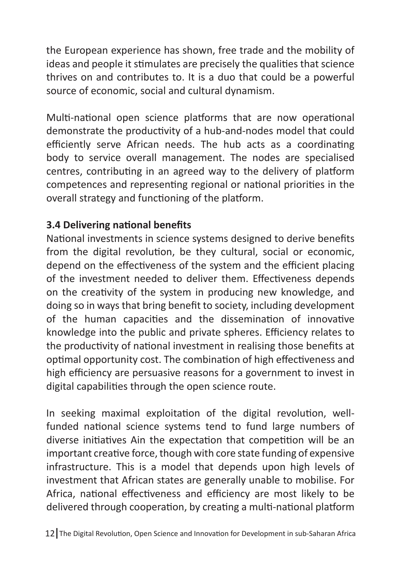the European experience has shown, free trade and the mobility of ideas and people it stimulates are precisely the qualities that science thrives on and contributes to. It is a duo that could be a powerful source of economic, social and cultural dynamism.

Multi-national open science platforms that are now operational demonstrate the productivity of a hub-and-nodes model that could efficiently serve African needs. The hub acts as a coordinating body to service overall management. The nodes are specialised centres, contributing in an agreed way to the delivery of platform competences and representing regional or national priorities in the overall strategy and functioning of the platform.

### 3.4 Delivering national benefits

National investments in science systems designed to derive benefits from the digital revolution, be they cultural, social or economic, depend on the effectiveness of the system and the efficient placing of the investment needed to deliver them. Effectiveness depends on the creativity of the system in producing new knowledge, and doing so in ways that bring benefit to society, including development of the human capacities and the dissemination of innovative knowledge into the public and private spheres. Efficiency relates to the productivity of national investment in realising those benefits at optimal opportunity cost. The combination of high effectiveness and high efficiency are persuasive reasons for a government to invest in digital capabilities through the open science route.

In seeking maximal exploitation of the digital revolution, wellfunded national science systems tend to fund large numbers of diverse initiatives Ain the expectation that competition will be an important creative force, though with core state funding of expensive infrastructure. This is a model that depends upon high levels of investment that African states are generally unable to mobilise. For Africa, national effectiveness and efficiency are most likely to be delivered through cooperation, by creating a multi-national platform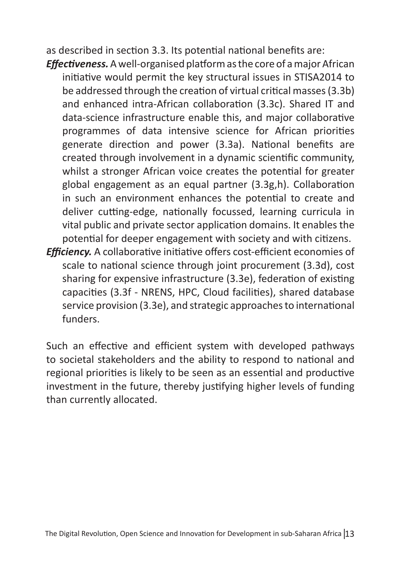as described in section 3.3. Its potential national benefits are:

- *Effectiveness.* A well-organised platform as the core of a major African initiative would permit the key structural issues in STISA2014 to be addressed through the creation of virtual critical masses (3.3b) and enhanced intra-African collaboration (3.3c). Shared IT and data-science infrastructure enable this, and major collaborative programmes of data intensive science for African priorities generate direction and power (3.3a). National benefits are created through involvement in a dynamic scientific community, whilst a stronger African voice creates the potential for greater global engagement as an equal partner (3.3g,h). Collaboration in such an environment enhances the potential to create and deliver cutting-edge, nationally focussed, learning curricula in vital public and private sector application domains. It enables the potential for deeper engagement with society and with citizens.
- *Efficiency.* A collaborative initiative offers cost-efficient economies of scale to national science through joint procurement (3.3d), cost sharing for expensive infrastructure (3.3e), federation of existing capacities (3.3f - NRENS, HPC, Cloud facilities), shared database service provision (3.3e), and strategic approaches to international funders.

Such an effective and efficient system with developed pathways to societal stakeholders and the ability to respond to national and regional priorities is likely to be seen as an essential and productive investment in the future, thereby justifying higher levels of funding than currently allocated.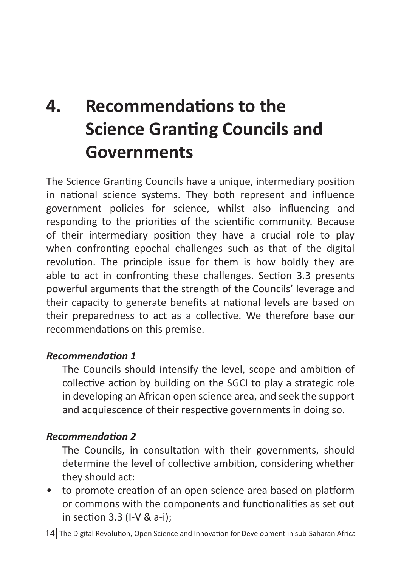## **4. RecommendaƟ ons to the Science Granting Councils and Governments**

The Science Granting Councils have a unique, intermediary position in national science systems. They both represent and influence government policies for science, whilst also influencing and responding to the priorities of the scientific community. Because of their intermediary position they have a crucial role to play when confronting epochal challenges such as that of the digital revolution. The principle issue for them is how boldly they are able to act in confronting these challenges. Section 3.3 presents powerful arguments that the strength of the Councils' leverage and their capacity to generate benefits at national levels are based on their preparedness to act as a collective. We therefore base our recommendations on this premise.

### *RecommendaƟ on 1*

The Councils should intensify the level, scope and ambition of collective action by building on the SGCI to play a strategic role in developing an African open science area, and seek the support and acquiescence of their respective governments in doing so.

### *RecommendaƟ on 2*

The Councils, in consultation with their governments, should determine the level of collective ambition, considering whether they should act:

• to promote creation of an open science area based on platform or commons with the components and functionalities as set out in section 3.3 (I-V  $&$  a-i);

14 The Digital Revolution, Open Science and Innovation for Development in sub-Saharan Africa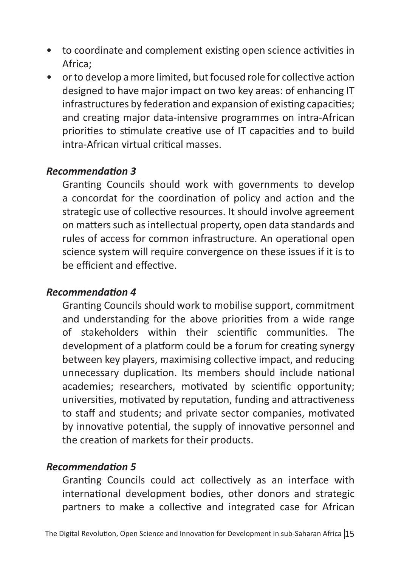- to coordinate and complement existing open science activities in Africa;
- or to develop a more limited, but focused role for collective action designed to have major impact on two key areas: of enhancing IT infrastructures by federation and expansion of existing capacities; and creating major data-intensive programmes on intra-African priorities to stimulate creative use of IT capacities and to build intra-African virtual critical masses.

### *RecommendaƟ on 3*

Granting Councils should work with governments to develop a concordat for the coordination of policy and action and the strategic use of collective resources. It should involve agreement on matters such as intellectual property, open data standards and rules of access for common infrastructure. An operational open science system will require convergence on these issues if it is to be efficient and effective.

### *RecommendaƟ on 4*

Granting Councils should work to mobilise support, commitment and understanding for the above priorities from a wide range of stakeholders within their scientific communities. The development of a platform could be a forum for creating synergy between key players, maximising collective impact, and reducing unnecessary duplication. Its members should include national academies; researchers, motivated by scientific opportunity; universities, motivated by reputation, funding and attractiveness to staff and students; and private sector companies, motivated by innovative potential, the supply of innovative personnel and the creation of markets for their products.

### *RecommendaƟ on 5*

Granting Councils could act collectively as an interface with international development bodies, other donors and strategic partners to make a collective and integrated case for African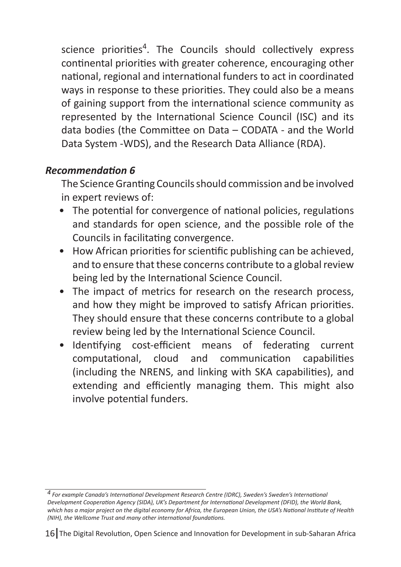science priorities<sup>4</sup>. The Councils should collectively express continental priorities with greater coherence, encouraging other national, regional and international funders to act in coordinated ways in response to these priorities. They could also be a means of gaining support from the international science community as represented by the International Science Council (ISC) and its data bodies (the Committee on Data – CODATA - and the World Data System -WDS), and the Research Data Alliance (RDA).

### *RecommendaƟ on 6*

The Science Granting Councils should commission and be involved in expert reviews of:

- The potential for convergence of national policies, regulations and standards for open science, and the possible role of the Councils in facilitating convergence.
- How African priorities for scientific publishing can be achieved, and to ensure that these concerns contribute to a global review being led by the International Science Council.
- The impact of metrics for research on the research process, and how they might be improved to satisfy African priorities. They should ensure that these concerns contribute to a global review being led by the International Science Council.
- Identifying cost-efficient means of federating current computational, cloud and communication capabilities (including the NRENS, and linking with SKA capabilities), and extending and efficiently managing them. This might also involve potential funders.

16 The Digital Revolution, Open Science and Innovation for Development in sub-Saharan Africa

*<sup>4</sup> For example Canada's International Development Research Centre (IDRC), Sweden's Sweden's International Development CooperaƟ on Agency (SIDA), UK's Department for InternaƟ onal Development (DFID), the World Bank, which has a major project on the digital economy for Africa, the European Union, the USA's National Institute of Health (NIH), the Wellcome Trust and many other international foundations.*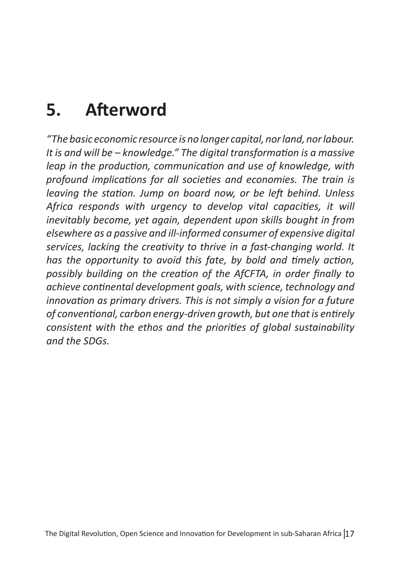## **5.** Afterword

*"The basic economic resource is no longer capital, nor land, nor labour. It is and will be – knowledge." The digital transformation is a massive leap in the production, communication and use of knowledge, with profound implicaƟ ons for all socieƟ es and economies. The train is leaving the station. Jump on board now, or be left behind. Unless Africa responds with urgency to develop vital capacities, it will inevitably become, yet again, dependent upon skills bought in from elsewhere as a passive and ill-informed consumer of expensive digital services, lacking the creativity to thrive in a fast-changing world. It has the opportunity to avoid this fate, by bold and timely action, possibly building on the creation of the AfCFTA, in order finally to achieve continental development goals, with science, technology and innovation as primary drivers. This is not simply a vision for a future of conventional, carbon energy-driven growth, but one that is entirely consistent with the ethos and the priorities of alobal sustainability and the SDGs.*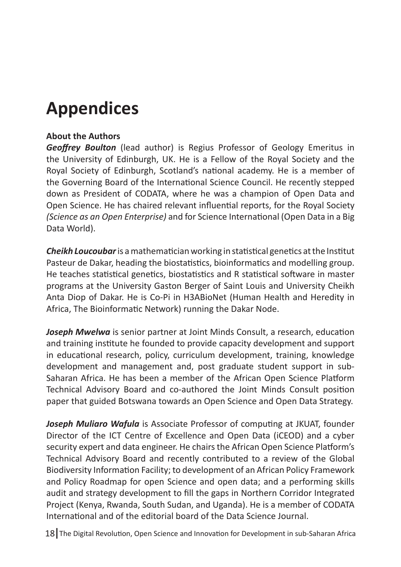## **Appendices**

#### **About the Authors**

**Geoffrey Boulton** (lead author) is Regius Professor of Geology Emeritus in the University of Edinburgh, UK. He is a Fellow of the Royal Society and the Royal Society of Edinburgh, Scotland's national academy. He is a member of the Governing Board of the International Science Council. He recently stepped down as President of CODATA, where he was a champion of Open Data and Open Science. He has chaired relevant influential reports, for the Royal Society *(Science as an Open Enterprise)* and for Science International (Open Data in a Big Data World).

*Cheikh Loucoubar* is a mathematician working in statistical genetics at the Institut Pasteur de Dakar, heading the biostatistics, bioinformatics and modelling group. He teaches statistical genetics, biostatistics and R statistical software in master programs at the University Gaston Berger of Saint Louis and University Cheikh Anta Diop of Dakar. He is Co-Pi in H3ABioNet (Human Health and Heredity in Africa, The Bioinformatic Network) running the Dakar Node.

**Joseph Mwelwa** is senior partner at Joint Minds Consult, a research, education and training institute he founded to provide capacity development and support in educational research, policy, curriculum development, training, knowledge development and management and, post graduate student support in sub-Saharan Africa. He has been a member of the African Open Science Platform Technical Advisory Board and co-authored the Joint Minds Consult position paper that guided Botswana towards an Open Science and Open Data Strategy.

Joseph Muliaro Wafula is Associate Professor of computing at JKUAT, founder Director of the ICT Centre of Excellence and Open Data (iCEOD) and a cyber security expert and data engineer. He chairs the African Open Science Platform's Technical Advisory Board and recently contributed to a review of the Global Biodiversity Information Facility; to development of an African Policy Framework and Policy Roadmap for open Science and open data; and a performing skills audit and strategy development to fill the gaps in Northern Corridor Integrated Project (Kenya, Rwanda, South Sudan, and Uganda). He is a member of CODATA International and of the editorial board of the Data Science Journal.

18 The Digital Revolution, Open Science and Innovation for Development in sub-Saharan Africa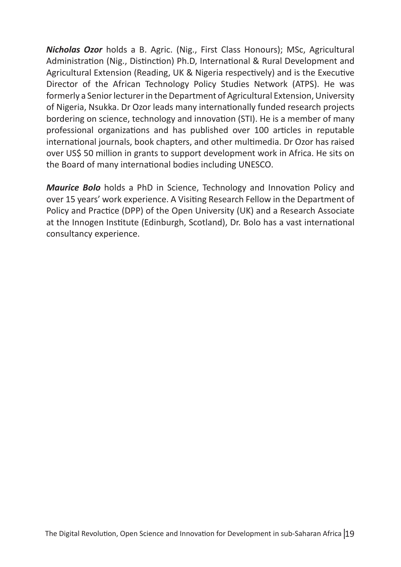*Nicholas Ozor* holds a B. Agric. (Nig., First Class Honours); MSc, Agricultural Administration (Nig., Distinction) Ph.D, International & Rural Development and Agricultural Extension (Reading, UK & Nigeria respectively) and is the Executive Director of the African Technology Policy Studies Network (ATPS). He was formerly a Senior lecturer in the Department of Agricultural Extension, University of Nigeria, Nsukka. Dr Ozor leads many internationally funded research projects bordering on science, technology and innovation (STI). He is a member of many professional organizations and has published over 100 articles in reputable international journals, book chapters, and other multimedia. Dr Ozor has raised over US\$ 50 million in grants to support development work in Africa. He sits on the Board of many international bodies including UNESCO.

*Maurice Bolo* holds a PhD in Science, Technology and Innovation Policy and over 15 years' work experience. A Visiting Research Fellow in the Department of Policy and Practice (DPP) of the Open University (UK) and a Research Associate at the Innogen Institute (Edinburgh, Scotland), Dr. Bolo has a vast international consultancy experience.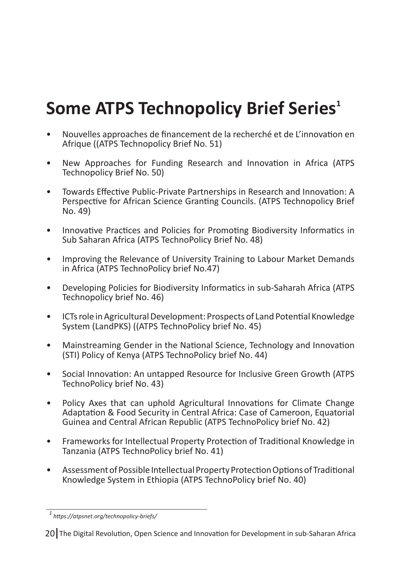## **Some ATPS Technopolicy Brief Series**<sup>1</sup>

- Nouvelles approaches de financement de la recherché et de L'innovation en Afrique ((ATPS Technopolicy Brief No. 51)
- New Approaches for Funding Research and Innovation in Africa (ATPS Technopolicy Brief No. 50)
- Towards Effective Public-Private Partnerships in Research and Innovation: A Perspective for African Science Granting Councils. (ATPS Technopolicy Brief No. 49)
- Innovative Practices and Policies for Promoting Biodiversity Informatics in Sub Saharan Africa (ATPS TechnoPolicy Brief No. 48)
- Improving the Relevance of University Training to Labour Market Demands in Africa (ATPS TechnoPolicy brief No.47)
- Developing Policies for Biodiversity Informatics in sub-Saharah Africa (ATPS Technopolicy brief No. 46)
- ICTs role in Agricultural Development: Prospects of Land Potential Knowledge System (LandPKS) ((ATPS TechnoPolicy brief No. 45)
- Mainstreaming Gender in the National Science, Technology and Innovation (STI) Policy of Kenya (ATPS TechnoPolicy brief No. 44)
- Social Innovation: An untapped Resource for Inclusive Green Growth (ATPS TechnoPolicy brief No. 43)
- Policy Axes that can uphold Agricultural Innovations for Climate Change Adaptation & Food Security in Central Africa: Case of Cameroon, Equatorial Guinea and Central African Republic (ATPS TechnoPolicy brief No. 42)
- Frameworks for Intellectual Property Protection of Traditional Knowledge in Tanzania (ATPS TechnoPolicy brief No. 41)
- Assessment of Possible Intellectual Property Protection Options of Traditional Knowledge System in Ethiopia (ATPS TechnoPolicy brief No. 40)

 *1 hƩ ps://atpsnet.org/technopolicy-briefs/*

<sup>20</sup> The Digital Revolution, Open Science and Innovation for Development in sub-Saharan Africa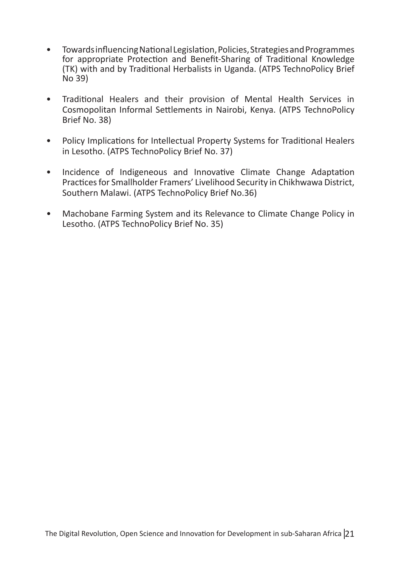- Towards influencing National Legislation, Policies, Strategies and Programmes for appropriate Protection and Benefit-Sharing of Traditional Knowledge (TK) with and by Traditional Herbalists in Uganda. (ATPS TechnoPolicy Brief No 39)
- Traditional Healers and their provision of Mental Health Services in Cosmopolitan Informal Settlements in Nairobi, Kenya. (ATPS TechnoPolicy Brief No. 38)
- Policy Implications for Intellectual Property Systems for Traditional Healers in Lesotho. (ATPS TechnoPolicy Brief No. 37)
- Incidence of Indigeneous and Innovative Climate Change Adaptation Practices for Smallholder Framers' Livelihood Security in Chikhwawa District, Southern Malawi. (ATPS TechnoPolicy Brief No.36)
- Machobane Farming System and its Relevance to Climate Change Policy in Lesotho. (ATPS TechnoPolicy Brief No. 35)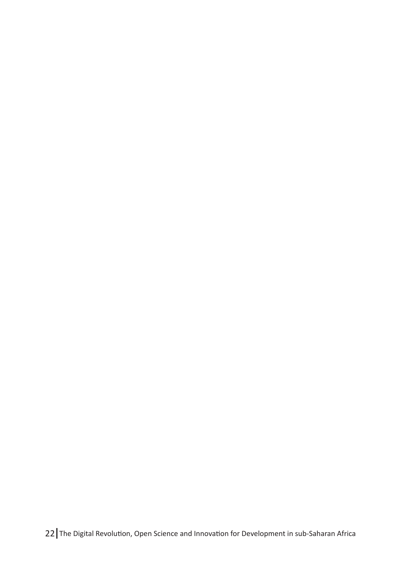22 The Digital Revolution, Open Science and Innovation for Development in sub-Saharan Africa